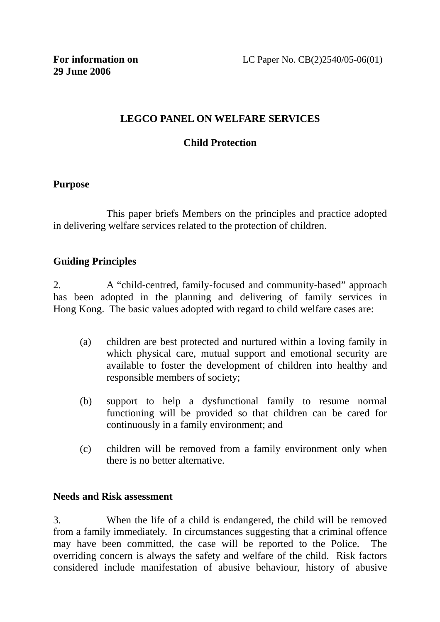# **LEGCO PANEL ON WELFARE SERVICES**

# **Child Protection**

## **Purpose**

 This paper briefs Members on the principles and practice adopted in delivering welfare services related to the protection of children.

## **Guiding Principles**

2. A "child-centred, family-focused and community-based" approach has been adopted in the planning and delivering of family services in Hong Kong. The basic values adopted with regard to child welfare cases are:

- (a) children are best protected and nurtured within a loving family in which physical care, mutual support and emotional security are available to foster the development of children into healthy and responsible members of society;
- (b) support to help a dysfunctional family to resume normal functioning will be provided so that children can be cared for continuously in a family environment; and
- (c) children will be removed from a family environment only when there is no better alternative.

#### **Needs and Risk assessment**

3. When the life of a child is endangered, the child will be removed from a family immediately. In circumstances suggesting that a criminal offence may have been committed, the case will be reported to the Police. The overriding concern is always the safety and welfare of the child. Risk factors considered include manifestation of abusive behaviour, history of abusive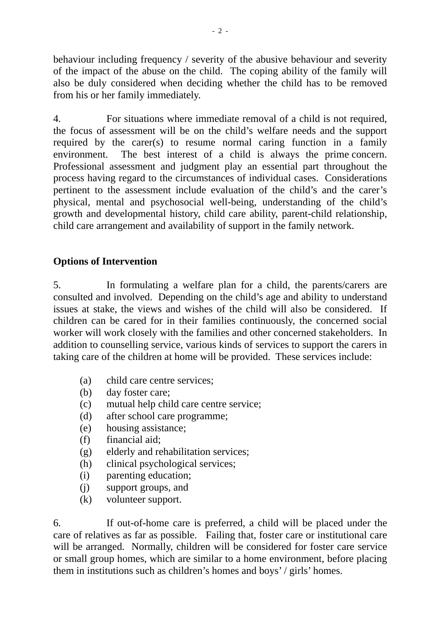behaviour including frequency / severity of the abusive behaviour and severity of the impact of the abuse on the child. The coping ability of the family will also be duly considered when deciding whether the child has to be removed from his or her family immediately.

4. For situations where immediate removal of a child is not required, the focus of assessment will be on the child's welfare needs and the support required by the carer(s) to resume normal caring function in a family environment. The best interest of a child is always the prime concern. Professional assessment and judgment play an essential part throughout the process having regard to the circumstances of individual cases. Considerations pertinent to the assessment include evaluation of the child's and the carer's physical, mental and psychosocial well-being, understanding of the child's growth and developmental history, child care ability, parent-child relationship, child care arrangement and availability of support in the family network.

# **Options of Intervention**

5. In formulating a welfare plan for a child, the parents/carers are consulted and involved. Depending on the child's age and ability to understand issues at stake, the views and wishes of the child will also be considered. If children can be cared for in their families continuously, the concerned social worker will work closely with the families and other concerned stakeholders. In addition to counselling service, various kinds of services to support the carers in taking care of the children at home will be provided. These services include:

- (a) child care centre services;
- (b) day foster care;
- (c) mutual help child care centre service;
- (d) after school care programme;
- (e) housing assistance;
- (f) financial aid;
- (g) elderly and rehabilitation services;
- (h) clinical psychological services;
- (i) parenting education;
- (j) support groups, and
- (k) volunteer support.

6. If out-of-home care is preferred, a child will be placed under the care of relatives as far as possible. Failing that, foster care or institutional care will be arranged. Normally, children will be considered for foster care service or small group homes, which are similar to a home environment, before placing them in institutions such as children's homes and boys' / girls' homes.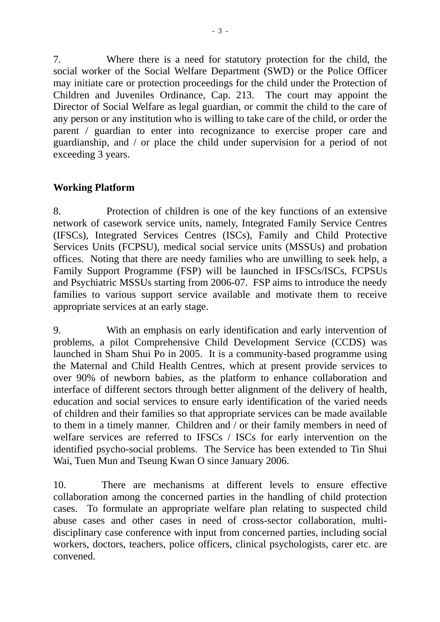7. Where there is a need for statutory protection for the child, the social worker of the Social Welfare Department (SWD) or the Police Officer may initiate care or protection proceedings for the child under the Protection of Children and Juveniles Ordinance, Cap. 213. The court may appoint the Director of Social Welfare as legal guardian, or commit the child to the care of any person or any institution who is willing to take care of the child, or order the parent / guardian to enter into recognizance to exercise proper care and guardianship, and / or place the child under supervision for a period of not exceeding 3 years.

# **Working Platform**

8. Protection of children is one of the key functions of an extensive network of casework service units, namely, Integrated Family Service Centres (IFSCs), Integrated Services Centres (ISCs), Family and Child Protective Services Units (FCPSU), medical social service units (MSSUs) and probation offices. Noting that there are needy families who are unwilling to seek help, a Family Support Programme (FSP) will be launched in IFSCs/ISCs, FCPSUs and Psychiatric MSSUs starting from 2006-07. FSP aims to introduce the needy families to various support service available and motivate them to receive appropriate services at an early stage.

9. With an emphasis on early identification and early intervention of problems, a pilot Comprehensive Child Development Service (CCDS) was launched in Sham Shui Po in 2005. It is a community-based programme using the Maternal and Child Health Centres, which at present provide services to over 90% of newborn babies, as the platform to enhance collaboration and interface of different sectors through better alignment of the delivery of health, education and social services to ensure early identification of the varied needs of children and their families so that appropriate services can be made available to them in a timely manner. Children and / or their family members in need of welfare services are referred to IFSCs / ISCs for early intervention on the identified psycho-social problems. The Service has been extended to Tin Shui Wai, Tuen Mun and Tseung Kwan O since January 2006.

10. There are mechanisms at different levels to ensure effective collaboration among the concerned parties in the handling of child protection cases. To formulate an appropriate welfare plan relating to suspected child abuse cases and other cases in need of cross-sector collaboration, multidisciplinary case conference with input from concerned parties, including social workers, doctors, teachers, police officers, clinical psychologists, carer etc. are convened.